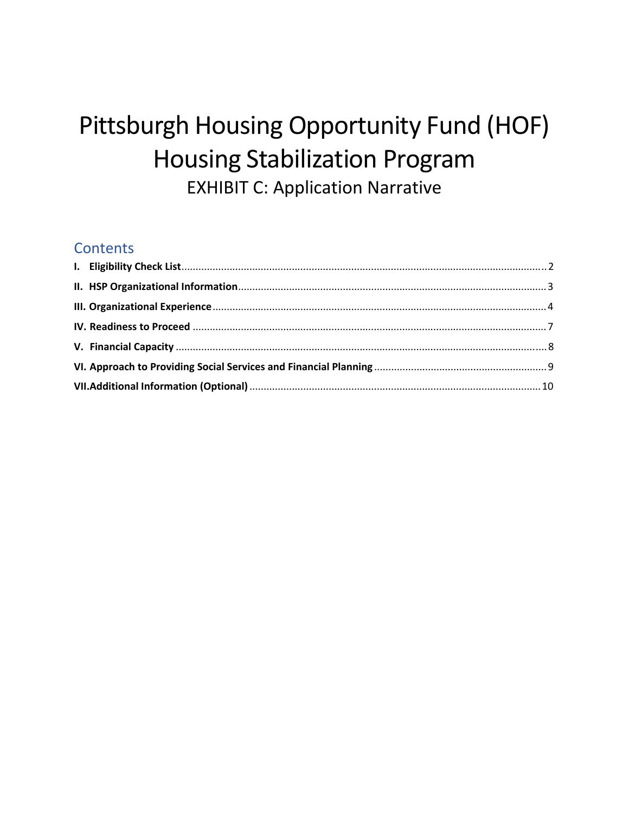# Pittsburgh Housing Opportunity Fund (HOF) **Housing Stabilization Program EXHIBIT C: Application Narrative**

#### **Contents**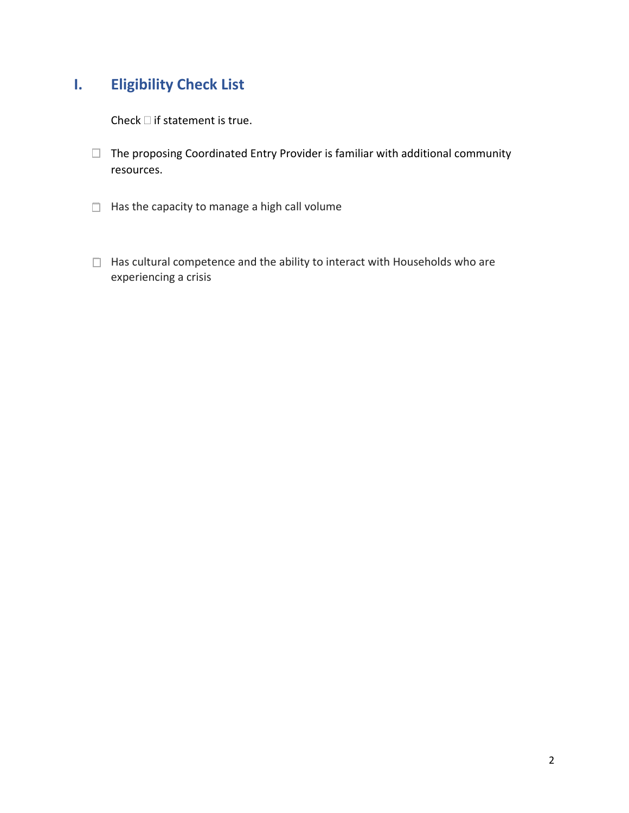## <span id="page-1-0"></span>**I. Eligibility Check List**

Check  $\Box$  if statement is true.

- $\Box$  The proposing Coordinated Entry Provider is familiar with additional community resources.
- $\Box$  Has the capacity to manage a high call volume
- $\Box$  Has cultural competence and the ability to interact with Households who are experiencing a crisis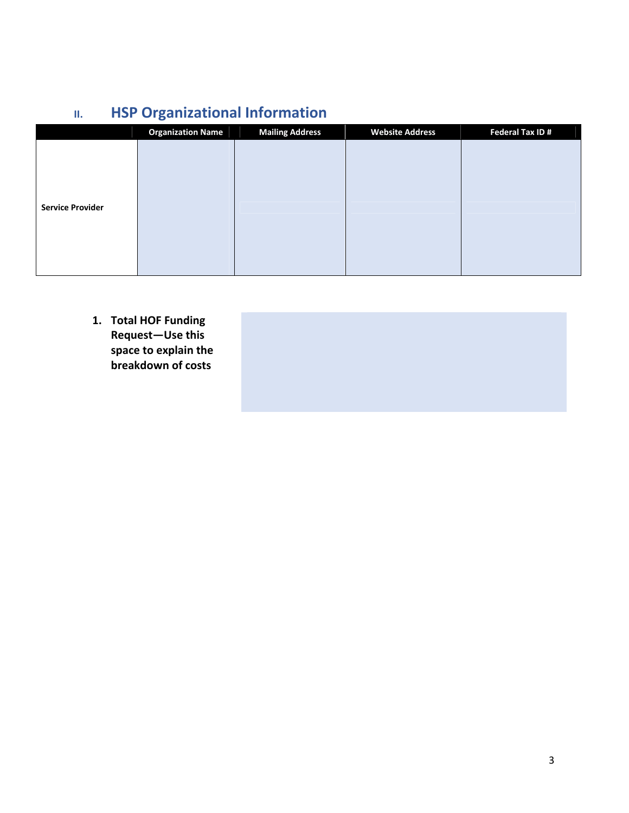# **II. HSP Organizational Information**

<span id="page-2-0"></span>

|                         | <b>Organization Name</b> | <b>Mailing Address</b> | <b>Website Address</b> | <b>Federal Tax ID#</b> |
|-------------------------|--------------------------|------------------------|------------------------|------------------------|
|                         |                          |                        |                        |                        |
|                         |                          |                        |                        |                        |
|                         |                          |                        |                        |                        |
|                         |                          |                        |                        |                        |
| <b>Service Provider</b> |                          |                        |                        |                        |
|                         |                          |                        |                        |                        |
|                         |                          |                        |                        |                        |
|                         |                          |                        |                        |                        |
|                         |                          |                        |                        |                        |

**1. Total HOF Funding Request—Use this space to explain the breakdown of costs**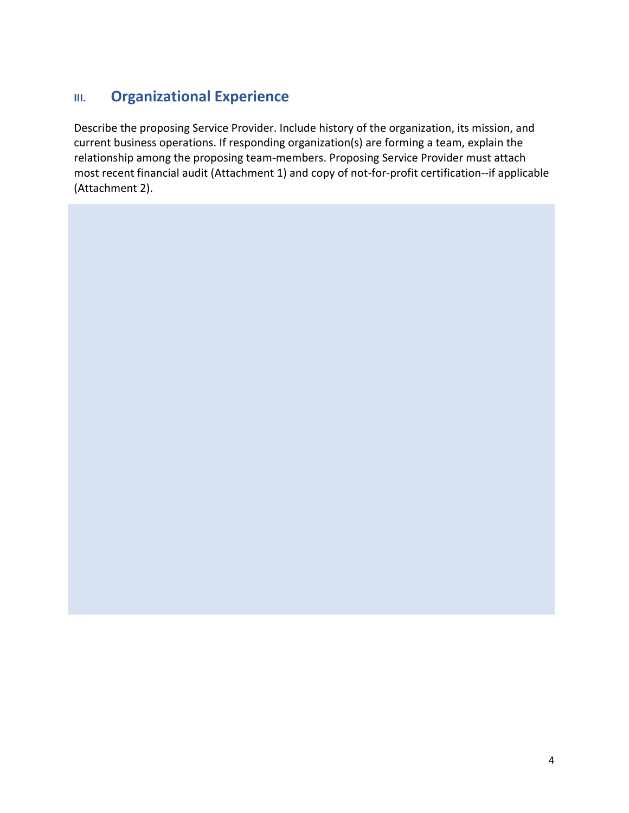## <span id="page-3-0"></span>**III. Organizational Experience**

Describe the proposing Service Provider. Include history of the organization, its mission, and current business operations. If responding organization(s) are forming a team, explain the relationship among the proposing team‐members. Proposing Service Provider must attach most recent financial audit (Attachment 1) and copy of not-for-profit certification--if applicable (Attachment 2).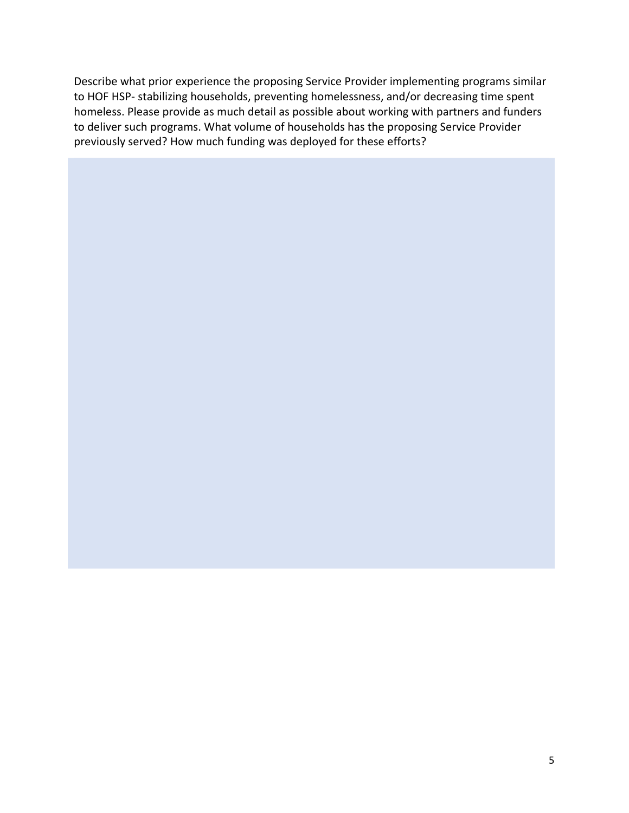Describe what prior experience the proposing Service Provider implementing programs similar to HOF HSP‐ stabilizing households, preventing homelessness, and/or decreasing time spent homeless. Please provide as much detail as possible about working with partners and funders to deliver such programs. What volume of households has the proposing Service Provider previously served? How much funding was deployed for these efforts?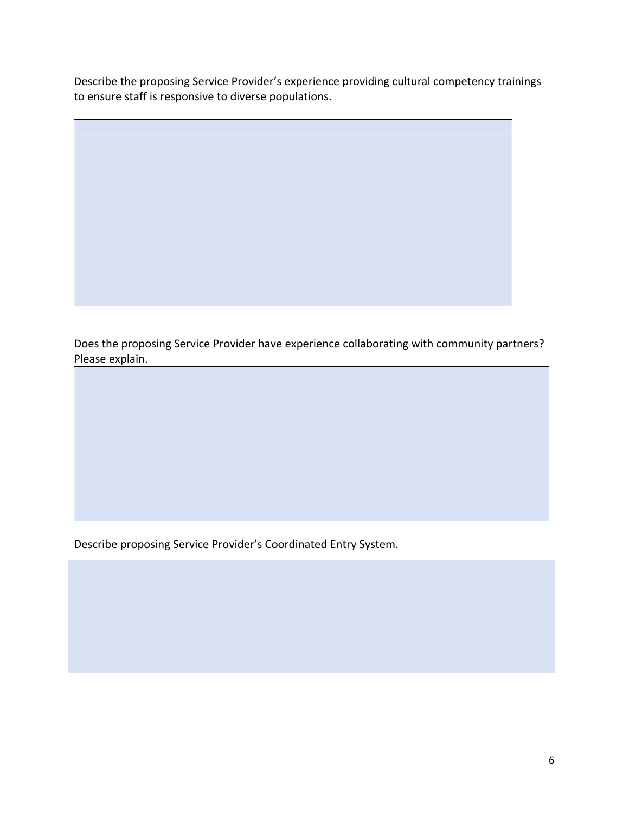Describe the proposing Service Provider's experience providing cultural competency trainings to ensure staff is responsive to diverse populations.

Does the proposing Service Provider have experience collaborating with community partners? Please explain.

Describe proposing Service Provider's Coordinated Entry System.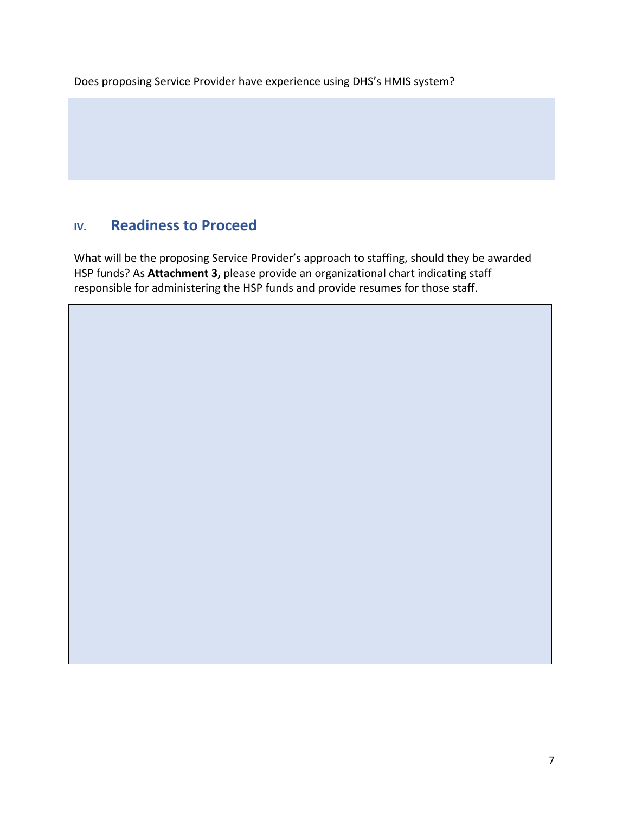Does proposing Service Provider have experience using DHS's HMIS system?

### <span id="page-6-0"></span>**IV. Readiness to Proceed**

What will be the proposing Service Provider's approach to staffing, should they be awarded HSP funds? As **Attachment 3,** please provide an organizational chart indicating staff responsible for administering the HSP funds and provide resumes for those staff.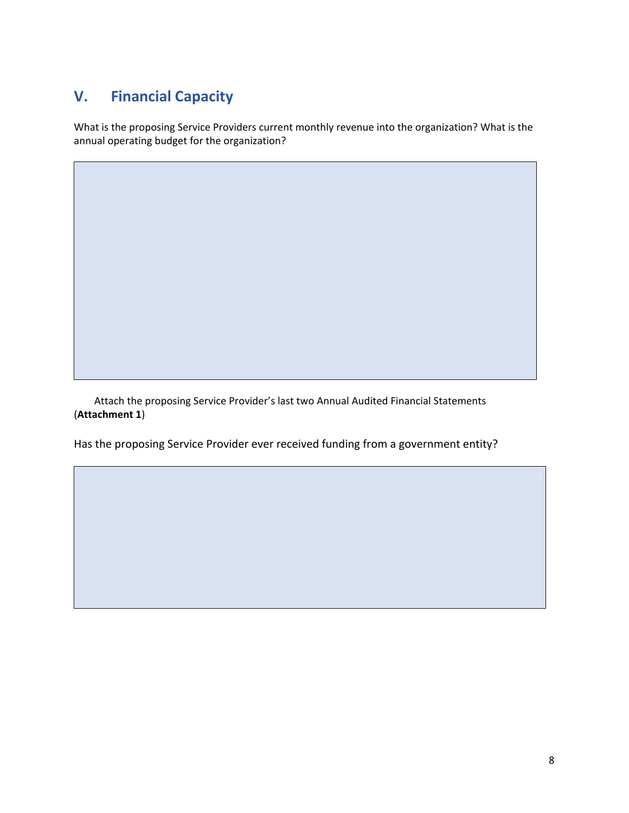## <span id="page-7-0"></span>**V. Financial Capacity**

What is the proposing Service Providers current monthly revenue into the organization? What is the annual operating budget for the organization?

 Attach the proposing Service Provider's last two Annual Audited Financial Statements (**Attachment 1**)

Has the proposing Service Provider ever received funding from a government entity?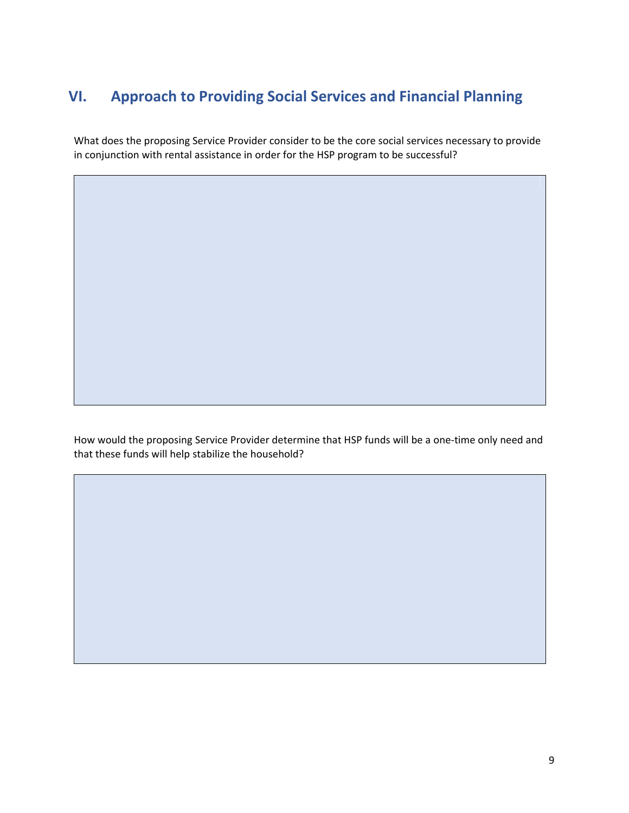## <span id="page-8-0"></span>**VI. Approach to Providing Social Services and Financial Planning**

What does the proposing Service Provider consider to be the core social services necessary to provide in conjunction with rental assistance in order for the HSP program to be successful?

How would the proposing Service Provider determine that HSP funds will be a one-time only need and that these funds will help stabilize the household?